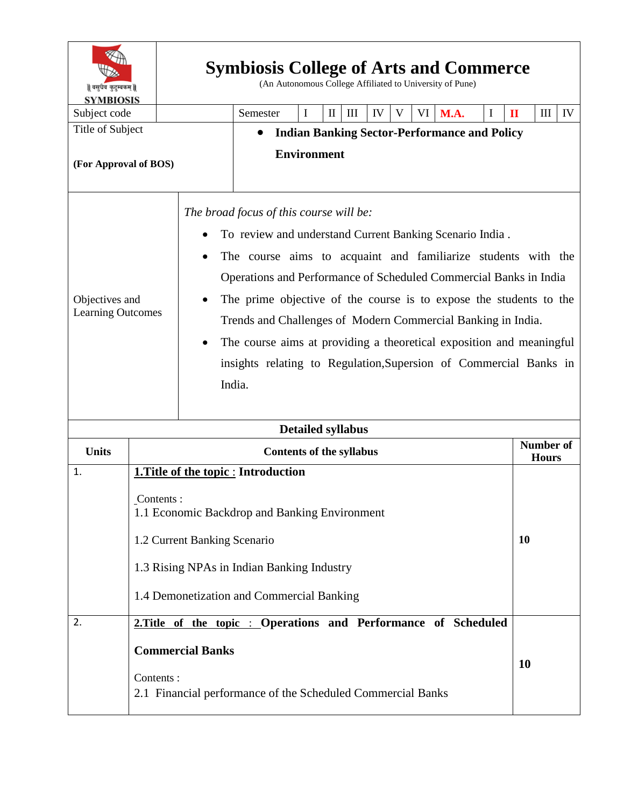| ॥ वसुधैव कुटुम्बकम् ॥<br><b>SYMBIOSIS</b>               | <b>Symbiosis College of Arts and Commerce</b><br>(An Autonomous College Affiliated to University of Pune)        |                                                                  |                                                                                                                                                                                                                                                                                                                                                                                                                                                                                                                                        |   |              |                    |    |   |  |                                  |   |              |   |    |
|---------------------------------------------------------|------------------------------------------------------------------------------------------------------------------|------------------------------------------------------------------|----------------------------------------------------------------------------------------------------------------------------------------------------------------------------------------------------------------------------------------------------------------------------------------------------------------------------------------------------------------------------------------------------------------------------------------------------------------------------------------------------------------------------------------|---|--------------|--------------------|----|---|--|----------------------------------|---|--------------|---|----|
| Subject code                                            |                                                                                                                  |                                                                  | Semester                                                                                                                                                                                                                                                                                                                                                                                                                                                                                                                               | I | $\mathbf{I}$ | $\mathop{\rm III}$ | IV | V |  | VI M.A.                          | I | $\mathbf{I}$ | Ш | IV |
| Title of Subject                                        |                                                                                                                  | <b>Indian Banking Sector-Performance and Policy</b><br>$\bullet$ |                                                                                                                                                                                                                                                                                                                                                                                                                                                                                                                                        |   |              |                    |    |   |  |                                  |   |              |   |    |
| (For Approval of BOS)                                   |                                                                                                                  |                                                                  | <b>Environment</b>                                                                                                                                                                                                                                                                                                                                                                                                                                                                                                                     |   |              |                    |    |   |  |                                  |   |              |   |    |
| Objectives and<br><b>Learning Outcomes</b><br>$\bullet$ |                                                                                                                  |                                                                  | The broad focus of this course will be:<br>To review and understand Current Banking Scenario India.<br>The course aims to acquaint and familiarize students with the<br>Operations and Performance of Scheduled Commercial Banks in India<br>The prime objective of the course is to expose the students to the<br>Trends and Challenges of Modern Commercial Banking in India.<br>The course aims at providing a theoretical exposition and meaningful<br>insights relating to Regulation, Supersion of Commercial Banks in<br>India. |   |              |                    |    |   |  |                                  |   |              |   |    |
| <b>Detailed syllabus</b>                                |                                                                                                                  |                                                                  |                                                                                                                                                                                                                                                                                                                                                                                                                                                                                                                                        |   |              |                    |    |   |  |                                  |   |              |   |    |
| <b>Units</b>                                            | <b>Contents of the syllabus</b>                                                                                  |                                                                  |                                                                                                                                                                                                                                                                                                                                                                                                                                                                                                                                        |   |              |                    |    |   |  | <b>Number of</b><br><b>Hours</b> |   |              |   |    |
| 1.                                                      |                                                                                                                  |                                                                  | 1. Title of the topic : Introduction                                                                                                                                                                                                                                                                                                                                                                                                                                                                                                   |   |              |                    |    |   |  |                                  |   |              |   |    |
|                                                         | Contents:<br>1.1 Economic Backdrop and Banking Environment                                                       |                                                                  |                                                                                                                                                                                                                                                                                                                                                                                                                                                                                                                                        |   |              |                    |    |   |  |                                  |   |              |   |    |
|                                                         | 1.2 Current Banking Scenario<br><b>10</b>                                                                        |                                                                  |                                                                                                                                                                                                                                                                                                                                                                                                                                                                                                                                        |   |              |                    |    |   |  |                                  |   |              |   |    |
|                                                         | 1.3 Rising NPAs in Indian Banking Industry                                                                       |                                                                  |                                                                                                                                                                                                                                                                                                                                                                                                                                                                                                                                        |   |              |                    |    |   |  |                                  |   |              |   |    |
|                                                         | 1.4 Demonetization and Commercial Banking                                                                        |                                                                  |                                                                                                                                                                                                                                                                                                                                                                                                                                                                                                                                        |   |              |                    |    |   |  |                                  |   |              |   |    |
| 2.                                                      |                                                                                                                  |                                                                  | 2. Title of the topic : Operations and Performance of Scheduled                                                                                                                                                                                                                                                                                                                                                                                                                                                                        |   |              |                    |    |   |  |                                  |   |              |   |    |
|                                                         | <b>Commercial Banks</b><br><b>10</b><br>Contents:<br>2.1 Financial performance of the Scheduled Commercial Banks |                                                                  |                                                                                                                                                                                                                                                                                                                                                                                                                                                                                                                                        |   |              |                    |    |   |  |                                  |   |              |   |    |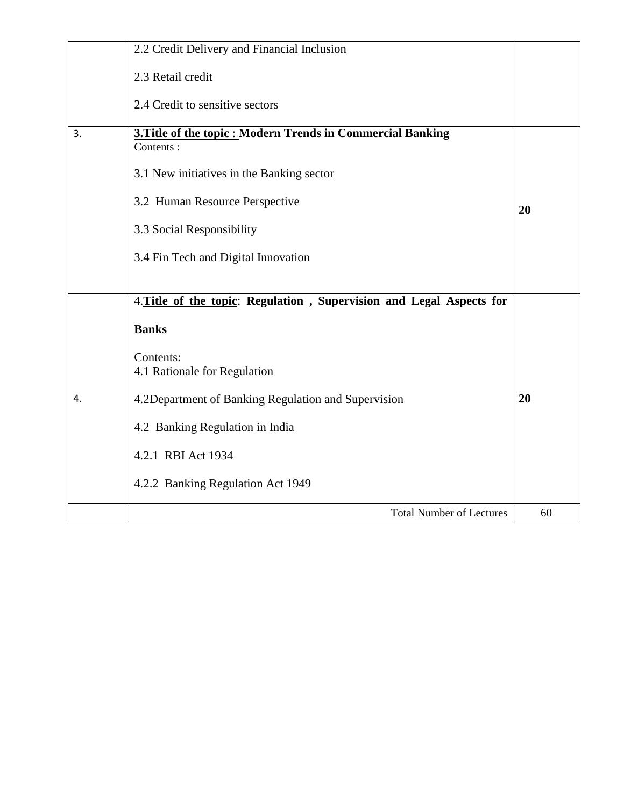|    | 2.2 Credit Delivery and Financial Inclusion                                     |    |  |  |  |  |
|----|---------------------------------------------------------------------------------|----|--|--|--|--|
|    | 2.3 Retail credit                                                               |    |  |  |  |  |
|    | 2.4 Credit to sensitive sectors                                                 |    |  |  |  |  |
| 3. | <b>3. Title of the topic : Modern Trends in Commercial Banking</b><br>Contents: |    |  |  |  |  |
|    | 3.1 New initiatives in the Banking sector                                       |    |  |  |  |  |
|    | 3.2 Human Resource Perspective                                                  | 20 |  |  |  |  |
|    | 3.3 Social Responsibility                                                       |    |  |  |  |  |
|    | 3.4 Fin Tech and Digital Innovation                                             |    |  |  |  |  |
|    |                                                                                 |    |  |  |  |  |
|    | 4. Title of the topic: Regulation, Supervision and Legal Aspects for            |    |  |  |  |  |
|    | <b>Banks</b>                                                                    |    |  |  |  |  |
|    | Contents:<br>4.1 Rationale for Regulation                                       |    |  |  |  |  |
| 4. | 4.2Department of Banking Regulation and Supervision                             | 20 |  |  |  |  |
|    | 4.2 Banking Regulation in India                                                 |    |  |  |  |  |
|    | 4.2.1 RBI Act 1934                                                              |    |  |  |  |  |
|    | 4.2.2 Banking Regulation Act 1949                                               |    |  |  |  |  |
|    | <b>Total Number of Lectures</b>                                                 | 60 |  |  |  |  |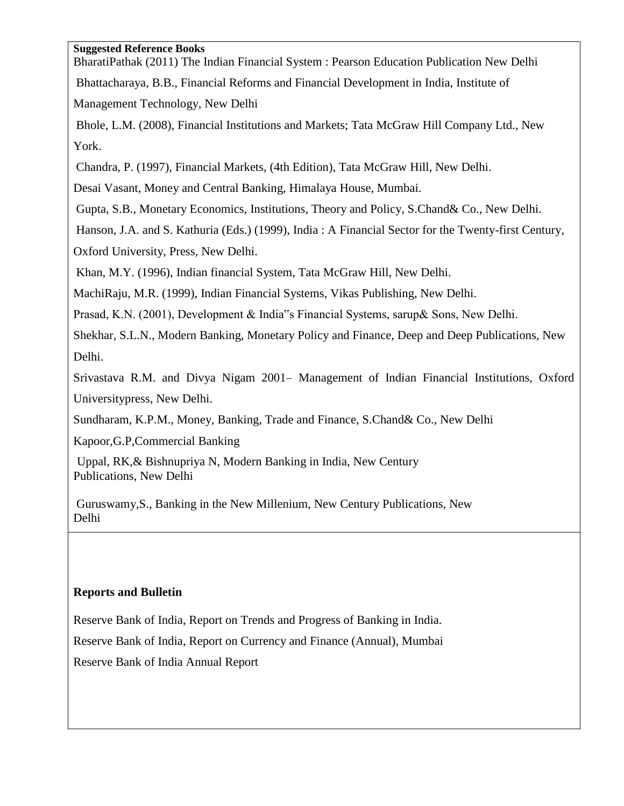## **Suggested Reference Books**

BharatiPathak (2011) The Indian Financial System : Pearson Education Publication New Delhi Bhattacharaya, B.B., Financial Reforms and Financial Development in India, Institute of Management Technology, New Delhi

Bhole, L.M. (2008), Financial Institutions and Markets; Tata McGraw Hill Company Ltd., New York.

Chandra, P. (1997), Financial Markets, (4th Edition), Tata McGraw Hill, New Delhi.

Desai Vasant, Money and Central Banking, Himalaya House, Mumbai.

Gupta, S.B., Monetary Economics, Institutions, Theory and Policy, S.Chand& Co., New Delhi.

Hanson, J.A. and S. Kathuria (Eds.) (1999), India : A Financial Sector for the Twenty-first Century, Oxford University, Press, New Delhi.

Khan, M.Y. (1996), Indian financial System, Tata McGraw Hill, New Delhi.

MachiRaju, M.R. (1999), Indian Financial Systems, Vikas Publishing, New Delhi.

Prasad, K.N. (2001), Development & India"s Financial Systems, sarup& Sons, New Delhi.

Shekhar, S.L.N., Modern Banking, Monetary Policy and Finance, Deep and Deep Publications, New Delhi.

Srivastava R.M. and Divya Nigam 2001– Management of Indian Financial Institutions, Oxford Universitypress, New Delhi.

Sundharam, K.P.M., Money, Banking, Trade and Finance, S.Chand& Co., New Delhi

Kapoor,G.P,Commercial Banking

Uppal, RK,& Bishnupriya N, Modern Banking in India, New Century Publications, New Delhi

Guruswamy,S., Banking in the New Millenium, New Century Publications, New Delhi

## **Reports and Bulletin**

Reserve Bank of India, Report on Trends and Progress of Banking in India.

Reserve Bank of India, Report on Currency and Finance (Annual), Mumbai

Reserve Bank of India Annual Report